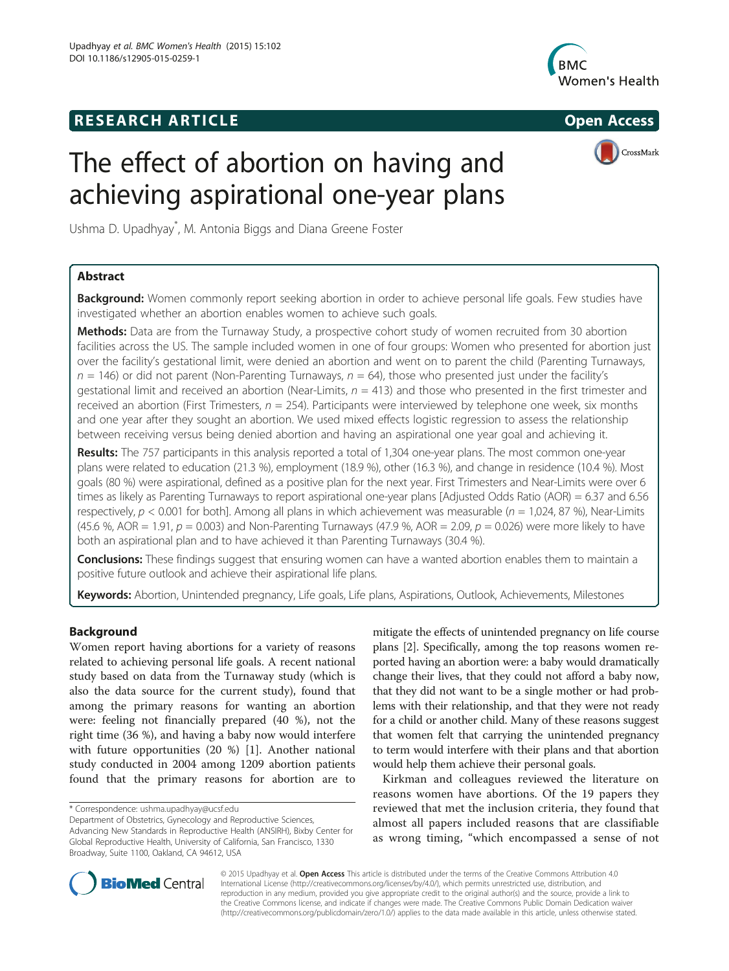## **RESEARCH ARTICLE Example 2014 CONSIDERING CONSIDERING CONSIDERING CONSIDERING CONSIDERING CONSIDERING CONSIDERING CONSIDERING CONSIDERING CONSIDERING CONSIDERING CONSIDERING CONSIDERING CONSIDERING CONSIDERING CONSIDE**



# CrossMark

# The effect of abortion on having and achieving aspirational one-year plans

Ushma D. Upadhyay\* , M. Antonia Biggs and Diana Greene Foster

## Abstract

Background: Women commonly report seeking abortion in order to achieve personal life goals. Few studies have investigated whether an abortion enables women to achieve such goals.

Methods: Data are from the Turnaway Study, a prospective cohort study of women recruited from 30 abortion facilities across the US. The sample included women in one of four groups: Women who presented for abortion just over the facility's gestational limit, were denied an abortion and went on to parent the child (Parenting Turnaways,  $n = 146$ ) or did not parent (Non-Parenting Turnaways,  $n = 64$ ), those who presented just under the facility's gestational limit and received an abortion (Near-Limits,  $n = 413$ ) and those who presented in the first trimester and received an abortion (First Trimesters,  $n = 254$ ). Participants were interviewed by telephone one week, six months and one year after they sought an abortion. We used mixed effects logistic regression to assess the relationship between receiving versus being denied abortion and having an aspirational one year goal and achieving it.

Results: The 757 participants in this analysis reported a total of 1,304 one-year plans. The most common one-year plans were related to education (21.3 %), employment (18.9 %), other (16.3 %), and change in residence (10.4 %). Most goals (80 %) were aspirational, defined as a positive plan for the next year. First Trimesters and Near-Limits were over 6 times as likely as Parenting Turnaways to report aspirational one-year plans [Adjusted Odds Ratio (AOR) = 6.37 and 6.56 respectively,  $p < 0.001$  for both]. Among all plans in which achievement was measurable ( $n = 1,024,87$ %), Near-Limits (45.6 %, AOR = 1.91,  $p = 0.003$ ) and Non-Parenting Turnaways (47.9 %, AOR = 2.09,  $p = 0.026$ ) were more likely to have both an aspirational plan and to have achieved it than Parenting Turnaways (30.4 %).

**Conclusions:** These findings suggest that ensuring women can have a wanted abortion enables them to maintain a positive future outlook and achieve their aspirational life plans.

Keywords: Abortion, Unintended pregnancy, Life goals, Life plans, Aspirations, Outlook, Achievements, Milestones

## Background

Women report having abortions for a variety of reasons related to achieving personal life goals. A recent national study based on data from the Turnaway study (which is also the data source for the current study), found that among the primary reasons for wanting an abortion were: feeling not financially prepared (40 %), not the right time (36 %), and having a baby now would interfere with future opportunities (20 %) [[1\]](#page-9-0). Another national study conducted in 2004 among 1209 abortion patients found that the primary reasons for abortion are to

\* Correspondence: [ushma.upadhyay@ucsf.edu](mailto:ushma.upadhyay@ucsf.edu)

Department of Obstetrics, Gynecology and Reproductive Sciences, Advancing New Standards in Reproductive Health (ANSIRH), Bixby Center for Global Reproductive Health, University of California, San Francisco, 1330 Broadway, Suite 1100, Oakland, CA 94612, USA

mitigate the effects of unintended pregnancy on life course plans [\[2](#page-9-0)]. Specifically, among the top reasons women reported having an abortion were: a baby would dramatically change their lives, that they could not afford a baby now, that they did not want to be a single mother or had problems with their relationship, and that they were not ready for a child or another child. Many of these reasons suggest that women felt that carrying the unintended pregnancy to term would interfere with their plans and that abortion would help them achieve their personal goals.

Kirkman and colleagues reviewed the literature on reasons women have abortions. Of the 19 papers they reviewed that met the inclusion criteria, they found that almost all papers included reasons that are classifiable as wrong timing, "which encompassed a sense of not



© 2015 Upadhyay et al. Open Access This article is distributed under the terms of the Creative Commons Attribution 4.0 International License [\(http://creativecommons.org/licenses/by/4.0/](http://creativecommons.org/licenses/by/4.0/)), which permits unrestricted use, distribution, and reproduction in any medium, provided you give appropriate credit to the original author(s) and the source, provide a link to the Creative Commons license, and indicate if changes were made. The Creative Commons Public Domain Dedication waiver [\(http://creativecommons.org/publicdomain/zero/1.0/](http://creativecommons.org/publicdomain/zero/1.0/)) applies to the data made available in this article, unless otherwise stated.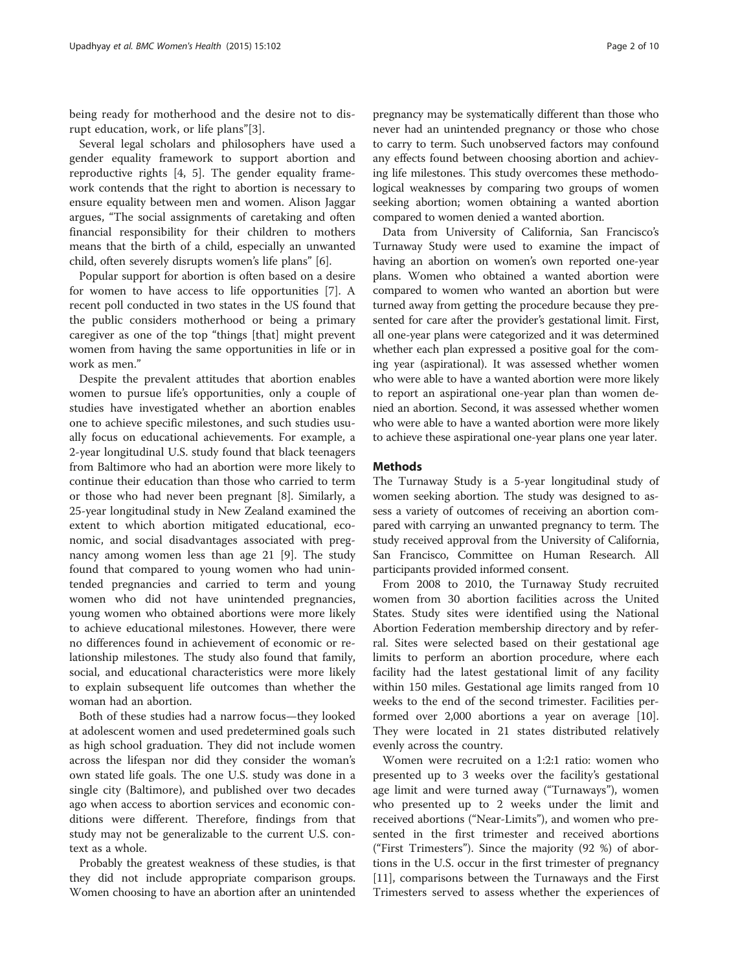being ready for motherhood and the desire not to disrupt education, work, or life plans"[\[3](#page-9-0)].

Several legal scholars and philosophers have used a gender equality framework to support abortion and reproductive rights [[4, 5\]](#page-9-0). The gender equality framework contends that the right to abortion is necessary to ensure equality between men and women. Alison Jaggar argues, "The social assignments of caretaking and often financial responsibility for their children to mothers means that the birth of a child, especially an unwanted child, often severely disrupts women's life plans" [[6\]](#page-9-0).

Popular support for abortion is often based on a desire for women to have access to life opportunities [\[7](#page-9-0)]. A recent poll conducted in two states in the US found that the public considers motherhood or being a primary caregiver as one of the top "things [that] might prevent women from having the same opportunities in life or in work as men."

Despite the prevalent attitudes that abortion enables women to pursue life's opportunities, only a couple of studies have investigated whether an abortion enables one to achieve specific milestones, and such studies usually focus on educational achievements. For example, a 2-year longitudinal U.S. study found that black teenagers from Baltimore who had an abortion were more likely to continue their education than those who carried to term or those who had never been pregnant [[8\]](#page-9-0). Similarly, a 25-year longitudinal study in New Zealand examined the extent to which abortion mitigated educational, economic, and social disadvantages associated with pregnancy among women less than age 21 [\[9](#page-9-0)]. The study found that compared to young women who had unintended pregnancies and carried to term and young women who did not have unintended pregnancies, young women who obtained abortions were more likely to achieve educational milestones. However, there were no differences found in achievement of economic or relationship milestones. The study also found that family, social, and educational characteristics were more likely to explain subsequent life outcomes than whether the woman had an abortion.

Both of these studies had a narrow focus—they looked at adolescent women and used predetermined goals such as high school graduation. They did not include women across the lifespan nor did they consider the woman's own stated life goals. The one U.S. study was done in a single city (Baltimore), and published over two decades ago when access to abortion services and economic conditions were different. Therefore, findings from that study may not be generalizable to the current U.S. context as a whole.

Probably the greatest weakness of these studies, is that they did not include appropriate comparison groups. Women choosing to have an abortion after an unintended

pregnancy may be systematically different than those who never had an unintended pregnancy or those who chose to carry to term. Such unobserved factors may confound any effects found between choosing abortion and achieving life milestones. This study overcomes these methodological weaknesses by comparing two groups of women seeking abortion; women obtaining a wanted abortion compared to women denied a wanted abortion.

Data from University of California, San Francisco's Turnaway Study were used to examine the impact of having an abortion on women's own reported one-year plans. Women who obtained a wanted abortion were compared to women who wanted an abortion but were turned away from getting the procedure because they presented for care after the provider's gestational limit. First, all one-year plans were categorized and it was determined whether each plan expressed a positive goal for the coming year (aspirational). It was assessed whether women who were able to have a wanted abortion were more likely to report an aspirational one-year plan than women denied an abortion. Second, it was assessed whether women who were able to have a wanted abortion were more likely to achieve these aspirational one-year plans one year later.

#### **Methods**

The Turnaway Study is a 5-year longitudinal study of women seeking abortion. The study was designed to assess a variety of outcomes of receiving an abortion compared with carrying an unwanted pregnancy to term. The study received approval from the University of California, San Francisco, Committee on Human Research. All participants provided informed consent.

From 2008 to 2010, the Turnaway Study recruited women from 30 abortion facilities across the United States. Study sites were identified using the National Abortion Federation membership directory and by referral. Sites were selected based on their gestational age limits to perform an abortion procedure, where each facility had the latest gestational limit of any facility within 150 miles. Gestational age limits ranged from 10 weeks to the end of the second trimester. Facilities performed over 2,000 abortions a year on average [\[10](#page-9-0)]. They were located in 21 states distributed relatively evenly across the country.

Women were recruited on a 1:2:1 ratio: women who presented up to 3 weeks over the facility's gestational age limit and were turned away ("Turnaways"), women who presented up to 2 weeks under the limit and received abortions ("Near-Limits"), and women who presented in the first trimester and received abortions ("First Trimesters"). Since the majority (92 %) of abortions in the U.S. occur in the first trimester of pregnancy [[11\]](#page-9-0), comparisons between the Turnaways and the First Trimesters served to assess whether the experiences of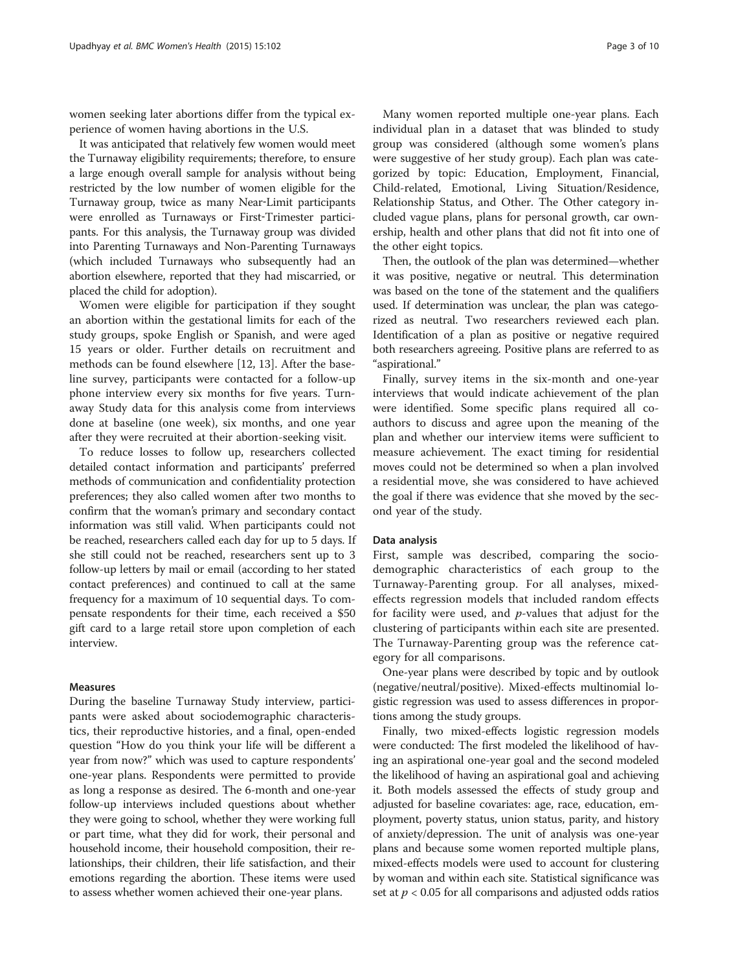women seeking later abortions differ from the typical experience of women having abortions in the U.S.

It was anticipated that relatively few women would meet the Turnaway eligibility requirements; therefore, to ensure a large enough overall sample for analysis without being restricted by the low number of women eligible for the Turnaway group, twice as many Near‐Limit participants were enrolled as Turnaways or First‐Trimester participants. For this analysis, the Turnaway group was divided into Parenting Turnaways and Non-Parenting Turnaways (which included Turnaways who subsequently had an abortion elsewhere, reported that they had miscarried, or placed the child for adoption).

Women were eligible for participation if they sought an abortion within the gestational limits for each of the study groups, spoke English or Spanish, and were aged 15 years or older. Further details on recruitment and methods can be found elsewhere [[12, 13](#page-9-0)]. After the baseline survey, participants were contacted for a follow-up phone interview every six months for five years. Turnaway Study data for this analysis come from interviews done at baseline (one week), six months, and one year after they were recruited at their abortion-seeking visit.

To reduce losses to follow up, researchers collected detailed contact information and participants' preferred methods of communication and confidentiality protection preferences; they also called women after two months to confirm that the woman's primary and secondary contact information was still valid. When participants could not be reached, researchers called each day for up to 5 days. If she still could not be reached, researchers sent up to 3 follow-up letters by mail or email (according to her stated contact preferences) and continued to call at the same frequency for a maximum of 10 sequential days. To compensate respondents for their time, each received a \$50 gift card to a large retail store upon completion of each interview.

#### Measures

During the baseline Turnaway Study interview, participants were asked about sociodemographic characteristics, their reproductive histories, and a final, open-ended question "How do you think your life will be different a year from now?" which was used to capture respondents' one-year plans. Respondents were permitted to provide as long a response as desired. The 6-month and one-year follow-up interviews included questions about whether they were going to school, whether they were working full or part time, what they did for work, their personal and household income, their household composition, their relationships, their children, their life satisfaction, and their emotions regarding the abortion. These items were used to assess whether women achieved their one-year plans.

Many women reported multiple one-year plans. Each individual plan in a dataset that was blinded to study group was considered (although some women's plans were suggestive of her study group). Each plan was categorized by topic: Education, Employment, Financial, Child-related, Emotional, Living Situation/Residence, Relationship Status, and Other. The Other category included vague plans, plans for personal growth, car ownership, health and other plans that did not fit into one of the other eight topics.

Then, the outlook of the plan was determined—whether it was positive, negative or neutral. This determination was based on the tone of the statement and the qualifiers used. If determination was unclear, the plan was categorized as neutral. Two researchers reviewed each plan. Identification of a plan as positive or negative required both researchers agreeing. Positive plans are referred to as "aspirational."

Finally, survey items in the six-month and one-year interviews that would indicate achievement of the plan were identified. Some specific plans required all coauthors to discuss and agree upon the meaning of the plan and whether our interview items were sufficient to measure achievement. The exact timing for residential moves could not be determined so when a plan involved a residential move, she was considered to have achieved the goal if there was evidence that she moved by the second year of the study.

#### Data analysis

First, sample was described, comparing the sociodemographic characteristics of each group to the Turnaway-Parenting group. For all analyses, mixedeffects regression models that included random effects for facility were used, and  $p$ -values that adjust for the clustering of participants within each site are presented. The Turnaway-Parenting group was the reference category for all comparisons.

One-year plans were described by topic and by outlook (negative/neutral/positive). Mixed-effects multinomial logistic regression was used to assess differences in proportions among the study groups.

Finally, two mixed-effects logistic regression models were conducted: The first modeled the likelihood of having an aspirational one-year goal and the second modeled the likelihood of having an aspirational goal and achieving it. Both models assessed the effects of study group and adjusted for baseline covariates: age, race, education, employment, poverty status, union status, parity, and history of anxiety/depression. The unit of analysis was one-year plans and because some women reported multiple plans, mixed-effects models were used to account for clustering by woman and within each site. Statistical significance was set at  $p < 0.05$  for all comparisons and adjusted odds ratios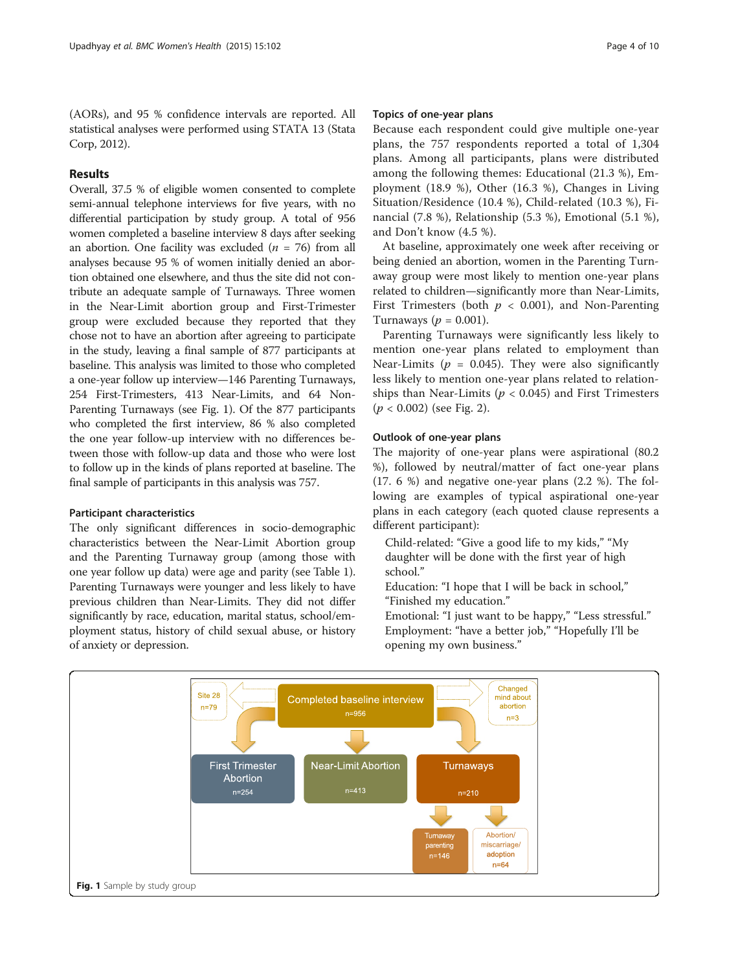(AORs), and 95 % confidence intervals are reported. All statistical analyses were performed using STATA 13 (Stata Corp, 2012).

## Results

Overall, 37.5 % of eligible women consented to complete semi-annual telephone interviews for five years, with no differential participation by study group. A total of 956 women completed a baseline interview 8 days after seeking an abortion. One facility was excluded ( $n = 76$ ) from all analyses because 95 % of women initially denied an abortion obtained one elsewhere, and thus the site did not contribute an adequate sample of Turnaways. Three women in the Near-Limit abortion group and First-Trimester group were excluded because they reported that they chose not to have an abortion after agreeing to participate in the study, leaving a final sample of 877 participants at baseline. This analysis was limited to those who completed a one-year follow up interview—146 Parenting Turnaways, 254 First-Trimesters, 413 Near-Limits, and 64 Non-Parenting Turnaways (see Fig. 1). Of the 877 participants who completed the first interview, 86 % also completed the one year follow-up interview with no differences between those with follow-up data and those who were lost to follow up in the kinds of plans reported at baseline. The final sample of participants in this analysis was 757.

#### Participant characteristics

The only significant differences in socio-demographic characteristics between the Near-Limit Abortion group and the Parenting Turnaway group (among those with one year follow up data) were age and parity (see Table [1](#page-6-0)). Parenting Turnaways were younger and less likely to have previous children than Near-Limits. They did not differ significantly by race, education, marital status, school/employment status, history of child sexual abuse, or history of anxiety or depression.

#### Topics of one-year plans

Because each respondent could give multiple one-year plans, the 757 respondents reported a total of 1,304 plans. Among all participants, plans were distributed among the following themes: Educational (21.3 %), Employment (18.9 %), Other (16.3 %), Changes in Living Situation/Residence (10.4 %), Child-related (10.3 %), Financial (7.8 %), Relationship (5.3 %), Emotional (5.1 %), and Don't know (4.5 %).

At baseline, approximately one week after receiving or being denied an abortion, women in the Parenting Turnaway group were most likely to mention one-year plans related to children—significantly more than Near-Limits, First Trimesters (both  $p < 0.001$ ), and Non-Parenting Turnaways ( $p = 0.001$ ).

Parenting Turnaways were significantly less likely to mention one-year plans related to employment than Near-Limits ( $p = 0.045$ ). They were also significantly less likely to mention one-year plans related to relationships than Near-Limits ( $p < 0.045$ ) and First Trimesters  $(p < 0.002)$  (see Fig. [2\)](#page-4-0).

#### Outlook of one-year plans

The majority of one-year plans were aspirational (80.2 %), followed by neutral/matter of fact one-year plans (17. 6 %) and negative one-year plans (2.2 %). The following are examples of typical aspirational one-year plans in each category (each quoted clause represents a different participant):

Child-related: "Give a good life to my kids," "My daughter will be done with the first year of high school."

Education: "I hope that I will be back in school," "Finished my education."

Emotional: "I just want to be happy," "Less stressful." Employment: "have a better job," "Hopefully I'll be opening my own business."

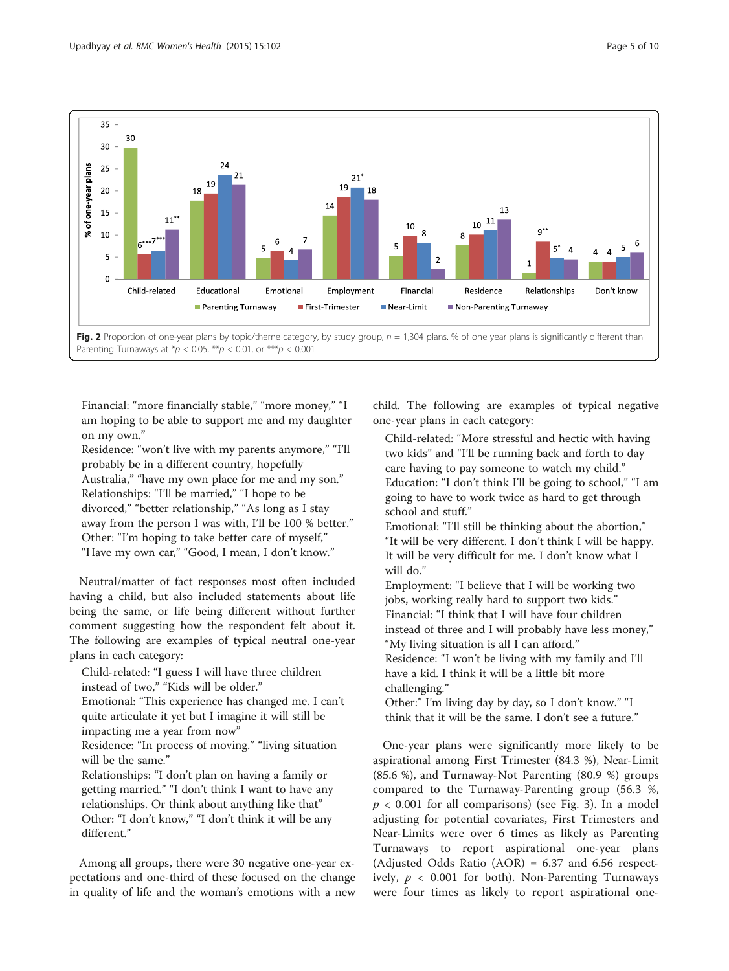

<span id="page-4-0"></span>

Financial: "more financially stable," "more money," "I am hoping to be able to support me and my daughter on my own."

Residence: "won't live with my parents anymore," "I'll probably be in a different country, hopefully Australia," "have my own place for me and my son." Relationships: "I'll be married," "I hope to be divorced," "better relationship," "As long as I stay away from the person I was with, I'll be 100 % better." Other: "I'm hoping to take better care of myself," "Have my own car," "Good, I mean, I don't know."

Neutral/matter of fact responses most often included having a child, but also included statements about life being the same, or life being different without further comment suggesting how the respondent felt about it. The following are examples of typical neutral one-year plans in each category:

Child-related: "I guess I will have three children instead of two," "Kids will be older." Emotional: "This experience has changed me. I can't quite articulate it yet but I imagine it will still be impacting me a year from now" Residence: "In process of moving." "living situation

will be the same." Relationships: "I don't plan on having a family or getting married." "I don't think I want to have any relationships. Or think about anything like that" Other: "I don't know," "I don't think it will be any different."

Among all groups, there were 30 negative one-year expectations and one-third of these focused on the change in quality of life and the woman's emotions with a new child. The following are examples of typical negative one-year plans in each category:

Child-related: "More stressful and hectic with having two kids" and "I'll be running back and forth to day care having to pay someone to watch my child." Education: "I don't think I'll be going to school," "I am going to have to work twice as hard to get through school and stuff."

Emotional: "I'll still be thinking about the abortion," "It will be very different. I don't think I will be happy. It will be very difficult for me. I don't know what I will do."

Employment: "I believe that I will be working two jobs, working really hard to support two kids." Financial: "I think that I will have four children instead of three and I will probably have less money," "My living situation is all I can afford." Residence: "I won't be living with my family and I'll

have a kid. I think it will be a little bit more challenging."

Other:" I'm living day by day, so I don't know." "I think that it will be the same. I don't see a future."

One-year plans were significantly more likely to be aspirational among First Trimester (84.3 %), Near-Limit (85.6 %), and Turnaway-Not Parenting (80.9 %) groups compared to the Turnaway-Parenting group (56.3 %,  $p < 0.001$  for all comparisons) (see Fig. [3](#page-5-0)). In a model adjusting for potential covariates, First Trimesters and Near-Limits were over 6 times as likely as Parenting Turnaways to report aspirational one-year plans (Adjusted Odds Ratio  $(AOR) = 6.37$  and 6.56 respectively,  $p < 0.001$  for both). Non-Parenting Turnaways were four times as likely to report aspirational one-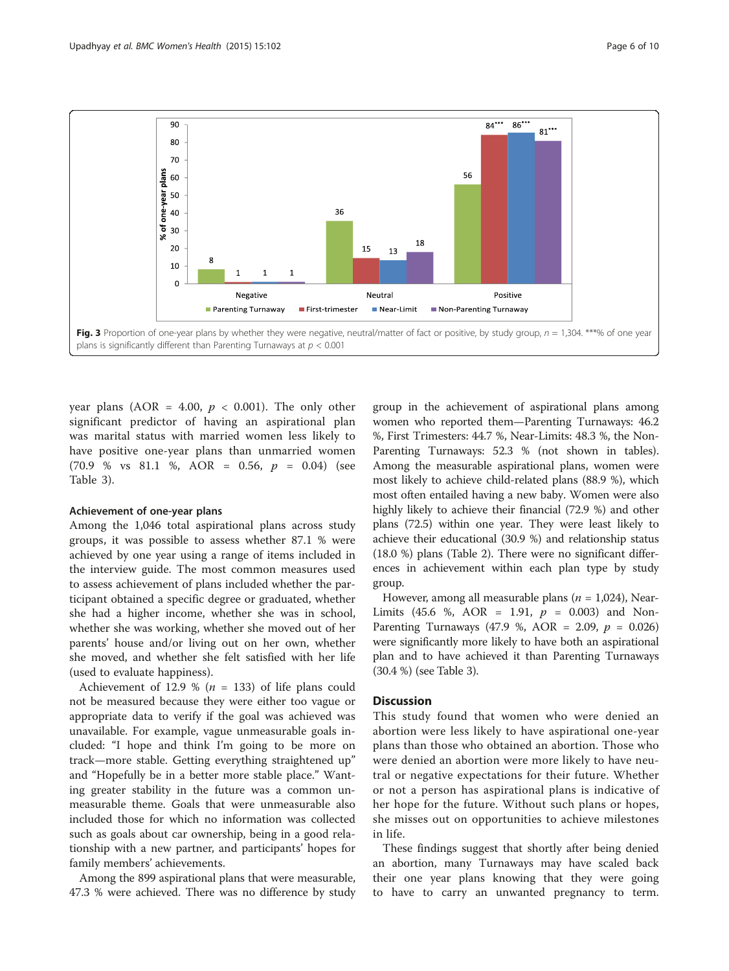<span id="page-5-0"></span>

year plans (AOR = 4.00,  $p < 0.001$ ). The only other significant predictor of having an aspirational plan was marital status with married women less likely to have positive one-year plans than unmarried women  $(70.9 \% \text{ vs } 81.1 \% \text{ AOR } = 0.56, p = 0.04)$  (see Table [3](#page-8-0)).

#### Achievement of one-year plans

Among the 1,046 total aspirational plans across study groups, it was possible to assess whether 87.1 % were achieved by one year using a range of items included in the interview guide. The most common measures used to assess achievement of plans included whether the participant obtained a specific degree or graduated, whether she had a higher income, whether she was in school, whether she was working, whether she moved out of her parents' house and/or living out on her own, whether she moved, and whether she felt satisfied with her life (used to evaluate happiness).

Achievement of 12.9 % ( $n = 133$ ) of life plans could not be measured because they were either too vague or appropriate data to verify if the goal was achieved was unavailable. For example, vague unmeasurable goals included: "I hope and think I'm going to be more on track—more stable. Getting everything straightened up" and "Hopefully be in a better more stable place." Wanting greater stability in the future was a common unmeasurable theme. Goals that were unmeasurable also included those for which no information was collected such as goals about car ownership, being in a good relationship with a new partner, and participants' hopes for family members' achievements.

Among the 899 aspirational plans that were measurable, 47.3 % were achieved. There was no difference by study

group in the achievement of aspirational plans among women who reported them—Parenting Turnaways: 46.2 %, First Trimesters: 44.7 %, Near-Limits: 48.3 %, the Non-Parenting Turnaways: 52.3 % (not shown in tables). Among the measurable aspirational plans, women were most likely to achieve child-related plans (88.9 %), which most often entailed having a new baby. Women were also highly likely to achieve their financial (72.9 %) and other plans (72.5) within one year. They were least likely to achieve their educational (30.9 %) and relationship status (18.0 %) plans (Table [2](#page-7-0)). There were no significant differences in achievement within each plan type by study group.

However, among all measurable plans ( $n = 1,024$ ), Near-Limits (45.6 %, AOR = 1.91,  $p = 0.003$ ) and Non-Parenting Turnaways (47.9 %, AOR = 2.09,  $p = 0.026$ ) were significantly more likely to have both an aspirational plan and to have achieved it than Parenting Turnaways (30.4 %) (see Table [3](#page-8-0)).

### **Discussion**

This study found that women who were denied an abortion were less likely to have aspirational one-year plans than those who obtained an abortion. Those who were denied an abortion were more likely to have neutral or negative expectations for their future. Whether or not a person has aspirational plans is indicative of her hope for the future. Without such plans or hopes, she misses out on opportunities to achieve milestones in life.

These findings suggest that shortly after being denied an abortion, many Turnaways may have scaled back their one year plans knowing that they were going to have to carry an unwanted pregnancy to term.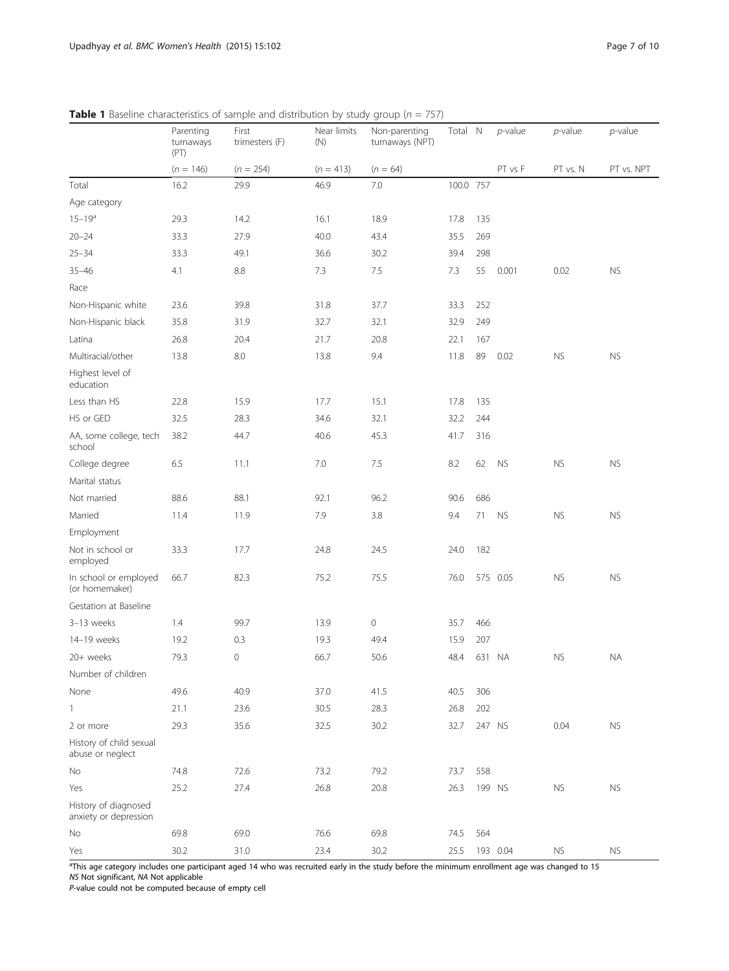|                                               | Parenting<br>turnaways<br>(PT) | First<br>trimesters (F) | Near limits<br>(N) | Non-parenting<br>turnaways (NPT) | Total N   |        | $p$ -value | $p$ -value | $p$ -value |
|-----------------------------------------------|--------------------------------|-------------------------|--------------------|----------------------------------|-----------|--------|------------|------------|------------|
|                                               | $(n = 146)$                    | $(n = 254)$             | $(n = 413)$        | $(n = 64)$                       |           |        | PT vs F    | PT vs. N   | PT vs. NPT |
| Total                                         | 16.2                           | 29.9                    | 46.9               | 7.0                              | 100.0 757 |        |            |            |            |
| Age category                                  |                                |                         |                    |                                  |           |        |            |            |            |
| $15 - 19a$                                    | 29.3                           | 14.2                    | 16.1               | 18.9                             | 17.8      | 135    |            |            |            |
| $20 - 24$                                     | 33.3                           | 27.9                    | 40.0               | 43.4                             | 35.5      | 269    |            |            |            |
| $25 - 34$                                     | 33.3                           | 49.1                    | 36.6               | 30.2                             | 39.4      | 298    |            |            |            |
| $35 - 46$                                     | 4.1                            | 8.8                     | 7.3                | 7.5                              | 7.3       | 55     | 0.001      | 0.02       | <b>NS</b>  |
| Race                                          |                                |                         |                    |                                  |           |        |            |            |            |
| Non-Hispanic white                            | 23.6                           | 39.8                    | 31.8               | 37.7                             | 33.3      | 252    |            |            |            |
| Non-Hispanic black                            | 35.8                           | 31.9                    | 32.7               | 32.1                             | 32.9      | 249    |            |            |            |
| Latina                                        | 26.8                           | 20.4                    | 21.7               | 20.8                             | 22.1      | 167    |            |            |            |
| Multiracial/other                             | 13.8                           | 8.0                     | 13.8               | 9.4                              | 11.8      | 89     | 0.02       | <b>NS</b>  | ${\sf NS}$ |
| Highest level of<br>education                 |                                |                         |                    |                                  |           |        |            |            |            |
| Less than HS                                  | 22.8                           | 15.9                    | 17.7               | 15.1                             | 17.8      | 135    |            |            |            |
| HS or GED                                     | 32.5                           | 28.3                    | 34.6               | 32.1                             | 32.2      | 244    |            |            |            |
| AA, some college, tech<br>school              | 38.2                           | 44.7                    | 40.6               | 45.3                             | 41.7      | 316    |            |            |            |
| College degree                                | 6.5                            | 11.1                    | 7.0                | 7.5                              | 8.2       | 62     | <b>NS</b>  | <b>NS</b>  | ${\sf NS}$ |
| Marital status                                |                                |                         |                    |                                  |           |        |            |            |            |
| Not married                                   | 88.6                           | 88.1                    | 92.1               | 96.2                             | 90.6      | 686    |            |            |            |
| Married                                       | 11.4                           | 11.9                    | 7.9                | 3.8                              | 9.4       | 71     | <b>NS</b>  | <b>NS</b>  | ${\sf NS}$ |
| Employment                                    |                                |                         |                    |                                  |           |        |            |            |            |
| Not in school or<br>employed                  | 33.3                           | 17.7                    | 24.8               | 24.5                             | 24.0      | 182    |            |            |            |
| In school or employed<br>(or homemaker)       | 66.7                           | 82.3                    | 75.2               | 75.5                             | 76.0      |        | 575 0.05   | <b>NS</b>  | ${\sf NS}$ |
| Gestation at Baseline                         |                                |                         |                    |                                  |           |        |            |            |            |
| 3-13 weeks                                    | 1.4                            | 99.7                    | 13.9               | 0                                | 35.7      | 466    |            |            |            |
| 14-19 weeks                                   | 19.2                           | 0.3                     | 19.3               | 49.4                             | 15.9      | 207    |            |            |            |
| 20+ weeks                                     | 79.3                           | 0                       | 66.7               | 50.6                             | 48.4      | 631 NA |            | <b>NS</b>  | <b>NA</b>  |
| Number of children                            |                                |                         |                    |                                  |           |        |            |            |            |
| None                                          | 49.6                           | 40.9                    | 37.0               | 41.5                             | 40.5      | 306    |            |            |            |
| 1                                             | 21.1                           | 23.6                    | 30.5               | 28.3                             | 26.8      | 202    |            |            |            |
| 2 or more                                     | 29.3                           | 35.6                    | 32.5               | 30.2                             | 32.7      | 247 NS |            | 0.04       | <b>NS</b>  |
| History of child sexual<br>abuse or neglect   |                                |                         |                    |                                  |           |        |            |            |            |
| No                                            | 74.8                           | 72.6                    | 73.2               | 79.2                             | 73.7      | 558    |            |            |            |
| Yes                                           | 25.2                           | 27.4                    | 26.8               | 20.8                             | 26.3      | 199 NS |            | <b>NS</b>  | <b>NS</b>  |
| History of diagnosed<br>anxiety or depression |                                |                         |                    |                                  |           |        |            |            |            |
| No                                            | 69.8                           | 69.0                    | 76.6               | 69.8                             | 74.5      | 564    |            |            |            |
| Yes                                           | 30.2                           | 31.0                    | 23.4               | 30.2                             | 25.5      |        | 193 0.04   | ${\sf NS}$ | <b>NS</b>  |

<span id="page-6-0"></span>**Table 1** Baseline characteristics of sample and distribution by study group ( $n = 757$ )

a This age category includes one participant aged 14 who was recruited early in the study before the minimum enrollment age was changed to 15 NS Not significant, NA Not applicable

P-value could not be computed because of empty cell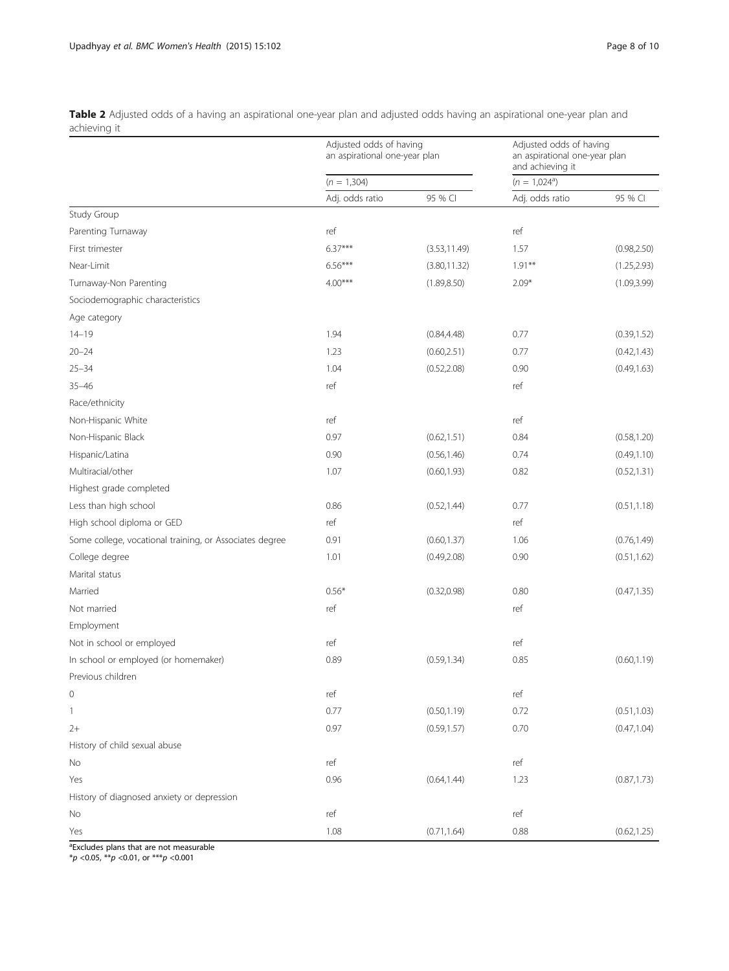<span id="page-7-0"></span>Table 2 Adjusted odds of a having an aspirational one-year plan and adjusted odds having an aspirational one-year plan and achieving it

|                                                         | Adjusted odds of having<br>an aspirational one-year plan<br>$(n = 1,304)$ |               | Adjusted odds of having<br>an aspirational one-year plan<br>and achieving it<br>$(n = 1,024^{\circ})$ |              |  |
|---------------------------------------------------------|---------------------------------------------------------------------------|---------------|-------------------------------------------------------------------------------------------------------|--------------|--|
|                                                         |                                                                           |               |                                                                                                       |              |  |
|                                                         | Adj. odds ratio                                                           | 95 % CI       | Adj. odds ratio                                                                                       | 95 % CI      |  |
| Study Group                                             |                                                                           |               |                                                                                                       |              |  |
| Parenting Turnaway                                      | ref                                                                       |               | ref                                                                                                   |              |  |
| First trimester                                         | $6.37***$                                                                 | (3.53, 11.49) | 1.57                                                                                                  | (0.98, 2.50) |  |
| Near-Limit                                              | $6.56***$                                                                 | (3.80, 11.32) | $1.91**$                                                                                              | (1.25, 2.93) |  |
| Turnaway-Non Parenting                                  | $4.00***$                                                                 | (1.89, 8.50)  | $2.09*$                                                                                               | (1.09, 3.99) |  |
| Sociodemographic characteristics                        |                                                                           |               |                                                                                                       |              |  |
| Age category                                            |                                                                           |               |                                                                                                       |              |  |
| $14 - 19$                                               | 1.94                                                                      | (0.84, 4.48)  | 0.77                                                                                                  | (0.39, 1.52) |  |
| $20 - 24$                                               | 1.23                                                                      | (0.60, 2.51)  | 0.77                                                                                                  | (0.42, 1.43) |  |
| $25 - 34$                                               | 1.04                                                                      | (0.52, 2.08)  | 0.90                                                                                                  | (0.49, 1.63) |  |
| $35 - 46$                                               | ref                                                                       |               | ref                                                                                                   |              |  |
| Race/ethnicity                                          |                                                                           |               |                                                                                                       |              |  |
| Non-Hispanic White                                      | ref                                                                       |               | ref                                                                                                   |              |  |
| Non-Hispanic Black                                      | 0.97                                                                      | (0.62, 1.51)  | 0.84                                                                                                  | (0.58, 1.20) |  |
| Hispanic/Latina                                         | 0.90                                                                      | (0.56, 1.46)  | 0.74                                                                                                  | (0.49, 1.10) |  |
| Multiracial/other                                       | 1.07                                                                      | (0.60, 1.93)  | 0.82                                                                                                  | (0.52, 1.31) |  |
| Highest grade completed                                 |                                                                           |               |                                                                                                       |              |  |
| Less than high school                                   | 0.86                                                                      | (0.52, 1.44)  | 0.77                                                                                                  | (0.51, 1.18) |  |
| High school diploma or GED                              | ref                                                                       |               | ref                                                                                                   |              |  |
| Some college, vocational training, or Associates degree | 0.91                                                                      | (0.60, 1.37)  | 1.06                                                                                                  | (0.76, 1.49) |  |
| College degree                                          | 1.01                                                                      | (0.49, 2.08)  | 0.90                                                                                                  | (0.51, 1.62) |  |
| Marital status                                          |                                                                           |               |                                                                                                       |              |  |
| Married                                                 | $0.56*$                                                                   | (0.32, 0.98)  | 0.80                                                                                                  | (0.47, 1.35) |  |
| Not married                                             | ref                                                                       |               | ref                                                                                                   |              |  |
| Employment                                              |                                                                           |               |                                                                                                       |              |  |
| Not in school or employed                               | ref                                                                       |               | ref                                                                                                   |              |  |
| In school or employed (or homemaker)                    | 0.89                                                                      | (0.59, 1.34)  | 0.85                                                                                                  | (0.60, 1.19) |  |
| Previous children                                       |                                                                           |               |                                                                                                       |              |  |
| $\mathbf 0$                                             | ref                                                                       |               | ref                                                                                                   |              |  |
| 1                                                       | 0.77                                                                      | (0.50, 1.19)  | 0.72                                                                                                  | (0.51, 1.03) |  |
| $2+$                                                    | 0.97                                                                      | (0.59, 1.57)  | 0.70                                                                                                  | (0.47, 1.04) |  |
| History of child sexual abuse                           |                                                                           |               |                                                                                                       |              |  |
| No                                                      | ref                                                                       |               | ref                                                                                                   |              |  |
| Yes                                                     | 0.96                                                                      | (0.64, 1.44)  | 1.23                                                                                                  | (0.87, 1.73) |  |
| History of diagnosed anxiety or depression              |                                                                           |               |                                                                                                       |              |  |
| No                                                      | ref                                                                       |               | ref                                                                                                   |              |  |
| Yes                                                     | 1.08                                                                      | (0.71, 1.64)  | 0.88                                                                                                  | (0.62, 1.25) |  |

a Excludes plans that are not measurable

\*p <0.05, \*\*p <0.01, or \*\*\*p <0.001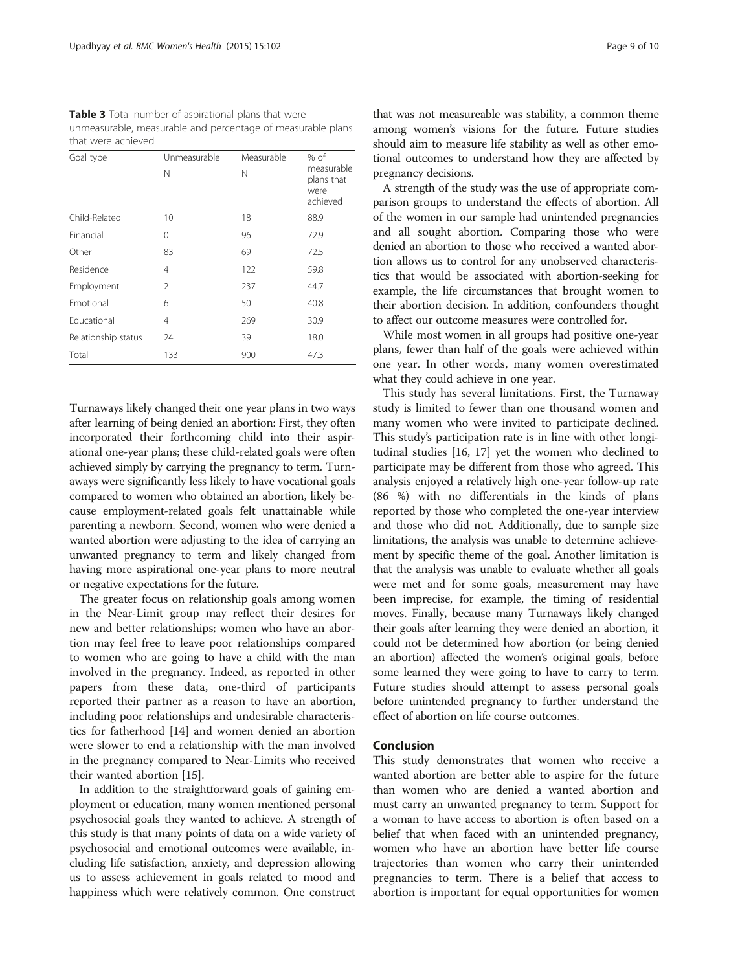<span id="page-8-0"></span>Table 3 Total number of aspirational plans that were unmeasurable, measurable and percentage of measurable plans that were achieved

| Goal type           | Unmeasurable<br>N | Measurable<br>Ν | % of<br>measurable<br>plans that<br>were<br>achieved |
|---------------------|-------------------|-----------------|------------------------------------------------------|
| Child-Related       | 10                | 18              | 88.9                                                 |
| Financial           | $\Omega$          | 96              | 72.9                                                 |
| Other               | 83                | 69              | 72.5                                                 |
| Residence           | 4                 | 122             | 59.8                                                 |
| Employment          | $\mathfrak{D}$    | 237             | 44.7                                                 |
| <b>Fmotional</b>    | 6                 | 50              | 40.8                                                 |
| Fducational         | 4                 | 269             | 30.9                                                 |
| Relationship status | 24                | 39              | 18.0                                                 |
| Total               | 133               | 900             | 47.3                                                 |

Turnaways likely changed their one year plans in two ways after learning of being denied an abortion: First, they often incorporated their forthcoming child into their aspirational one-year plans; these child-related goals were often achieved simply by carrying the pregnancy to term. Turnaways were significantly less likely to have vocational goals compared to women who obtained an abortion, likely because employment-related goals felt unattainable while parenting a newborn. Second, women who were denied a wanted abortion were adjusting to the idea of carrying an unwanted pregnancy to term and likely changed from having more aspirational one-year plans to more neutral or negative expectations for the future.

The greater focus on relationship goals among women in the Near-Limit group may reflect their desires for new and better relationships; women who have an abortion may feel free to leave poor relationships compared to women who are going to have a child with the man involved in the pregnancy. Indeed, as reported in other papers from these data, one-third of participants reported their partner as a reason to have an abortion, including poor relationships and undesirable characteristics for fatherhood [[14](#page-9-0)] and women denied an abortion were slower to end a relationship with the man involved in the pregnancy compared to Near-Limits who received their wanted abortion [[15\]](#page-9-0).

In addition to the straightforward goals of gaining employment or education, many women mentioned personal psychosocial goals they wanted to achieve. A strength of this study is that many points of data on a wide variety of psychosocial and emotional outcomes were available, including life satisfaction, anxiety, and depression allowing us to assess achievement in goals related to mood and happiness which were relatively common. One construct that was not measureable was stability, a common theme among women's visions for the future. Future studies should aim to measure life stability as well as other emotional outcomes to understand how they are affected by pregnancy decisions.

A strength of the study was the use of appropriate comparison groups to understand the effects of abortion. All of the women in our sample had unintended pregnancies and all sought abortion. Comparing those who were denied an abortion to those who received a wanted abortion allows us to control for any unobserved characteristics that would be associated with abortion-seeking for example, the life circumstances that brought women to their abortion decision. In addition, confounders thought to affect our outcome measures were controlled for.

While most women in all groups had positive one-year plans, fewer than half of the goals were achieved within one year. In other words, many women overestimated what they could achieve in one year.

This study has several limitations. First, the Turnaway study is limited to fewer than one thousand women and many women who were invited to participate declined. This study's participation rate is in line with other longitudinal studies [\[16](#page-9-0), [17\]](#page-9-0) yet the women who declined to participate may be different from those who agreed. This analysis enjoyed a relatively high one-year follow-up rate (86 %) with no differentials in the kinds of plans reported by those who completed the one-year interview and those who did not. Additionally, due to sample size limitations, the analysis was unable to determine achievement by specific theme of the goal. Another limitation is that the analysis was unable to evaluate whether all goals were met and for some goals, measurement may have been imprecise, for example, the timing of residential moves. Finally, because many Turnaways likely changed their goals after learning they were denied an abortion, it could not be determined how abortion (or being denied an abortion) affected the women's original goals, before some learned they were going to have to carry to term. Future studies should attempt to assess personal goals before unintended pregnancy to further understand the effect of abortion on life course outcomes.

### Conclusion

This study demonstrates that women who receive a wanted abortion are better able to aspire for the future than women who are denied a wanted abortion and must carry an unwanted pregnancy to term. Support for a woman to have access to abortion is often based on a belief that when faced with an unintended pregnancy, women who have an abortion have better life course trajectories than women who carry their unintended pregnancies to term. There is a belief that access to abortion is important for equal opportunities for women